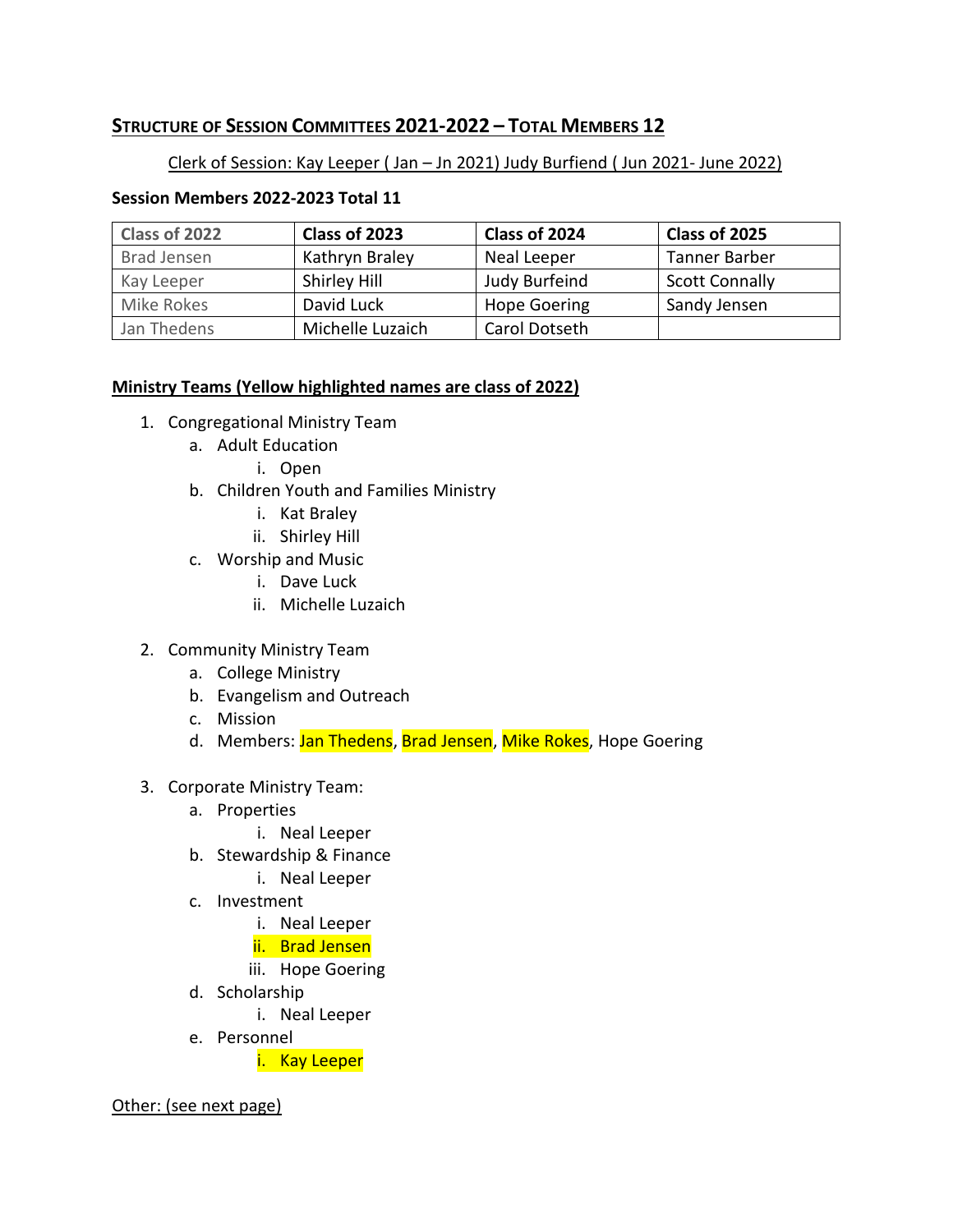# **STRUCTURE OF SESSION COMMITTEES 2021-2022 – TOTAL MEMBERS 12**

## Clerk of Session: Kay Leeper ( Jan – Jn 2021) Judy Burfiend ( Jun 2021- June 2022)

### **Session Members 2022-2023 Total 11**

| Class of 2022      | Class of 2023    | Class of 2024       | Class of 2025         |
|--------------------|------------------|---------------------|-----------------------|
| <b>Brad Jensen</b> | Kathryn Braley   | Neal Leeper         | Tanner Barber         |
| Kay Leeper         | Shirley Hill     | Judy Burfeind       | <b>Scott Connally</b> |
| Mike Rokes         | David Luck       | <b>Hope Goering</b> | Sandy Jensen          |
| Jan Thedens        | Michelle Luzaich | Carol Dotseth       |                       |

#### **Ministry Teams (Yellow highlighted names are class of 2022)**

- 1. Congregational Ministry Team
	- a. Adult Education
		- i. Open
	- b. Children Youth and Families Ministry
		- i. Kat Braley
		- ii. Shirley Hill
	- c. Worship and Music
		- i. Dave Luck
		- ii. Michelle Luzaich
- 2. Community Ministry Team
	- a. College Ministry
	- b. Evangelism and Outreach
	- c. Mission
	- d. Members: Jan Thedens, Brad Jensen, Mike Rokes, Hope Goering
- 3. Corporate Ministry Team:
	- a. Properties
		- i. Neal Leeper
	- b. Stewardship & Finance
		- i. Neal Leeper
	- c. Investment
		- i. Neal Leeper
		- ii. Brad Jensen
		- iii. Hope Goering
	- d. Scholarship
		- i. Neal Leeper
	- e. Personnel

i. Kay Leeper

#### Other: (see next page)